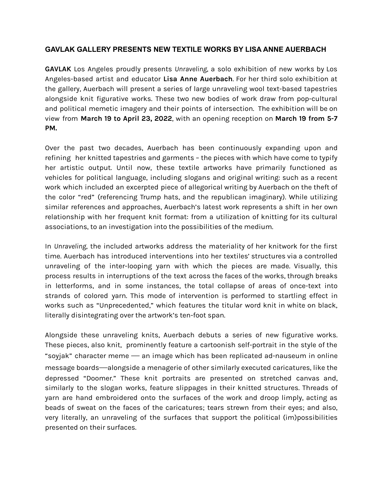## **GAVLAK GALLERY PRESENTS NEW TEXTILE WORKS BY LISA ANNE AUERBACH**

**GAVLAK** Los Angeles proudly presents *Unraveling*, a solo exhibition of new works by Los Angeles-based artist and educator **Lisa Anne Auerbach**. For her third solo exhibition at the gallery, Auerbach will present a series of large unraveling wool text-based tapestries alongside knit figurative works. These two new bodies of work draw from pop-cultural and political memetic imagery and their points of intersection. The exhibition will be on view from **March 19 to April 23, 2022**, with an opening reception on **March 19 from 5-7 PM.**

Over the past two decades, Auerbach has been continuously expanding upon and refining her knitted tapestries and garments – the pieces with which have come to typify her artistic output. Until now, these textile artworks have primarily functioned as vehicles for political language, including slogans and original writing: such as a recent work which included an excerpted piece of allegorical writing by Auerbach on the theft of the color "red" (referencing Trump hats, and the republican imaginary). While utilizing similar references and approaches, Auerbach's latest work represents a shift in her own relationship with her frequent knit format: from a utilization of knitting for its cultural associations, to an investigation into the possibilities of the medium.

In *Unraveling*, the included artworks address the materiality of her knitwork for the first time. Auerbach has introduced interventions into her textiles' structures via a controlled unraveling of the inter-looping yarn with which the pieces are made. Visually, this process results in interruptions of the text across the faces of the works, through breaks in letterforms, and in some instances, the total collapse of areas of once-text into strands of colored yarn. This mode of intervention is performed to startling effect in works such as "Unprecedented," which features the titular word knit in white on black, literally disintegrating over the artwork's ten-foot span.

Alongside these unraveling knits, Auerbach debuts a series of new figurative works. These pieces, also knit, prominently feature a cartoonish self-portrait in the style of the "soyjak" character meme — an image which has been replicated ad-nauseum in online message boards—alongside a menagerie of other similarly executed caricatures, like the depressed "Doomer." These knit portraits are presented on stretched canvas and, similarly to the slogan works, feature slippages in their knitted structures. Threads of yarn are hand embroidered onto the surfaces of the work and droop limply, acting as beads of sweat on the faces of the caricatures; tears strewn from their eyes; and also, very literally, an unraveling of the surfaces that support the political (im)possibilities presented on their surfaces.